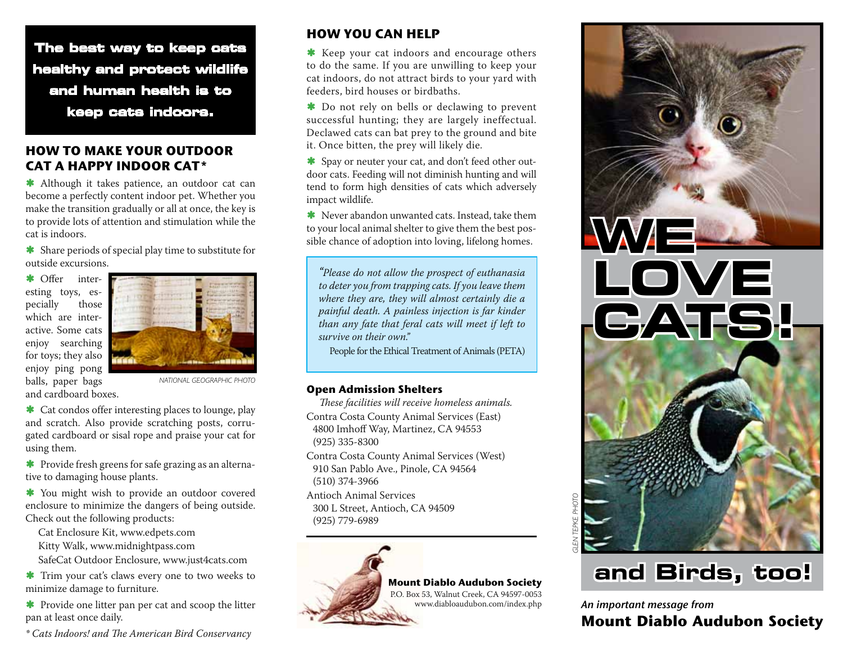**The best way to keep cats healthy and protect wildlife and human health is to keep cats indoors.**

## **HOW TO MAKE YOUR OUTDOOR CAT A HAPPY INDOOR CAT\***

\* Although it takes patience, an outdoor cat can become a perfectly content indoor pet. Whether you make the transition gradually or all at once, the key is to provide lots of attention and stimulation while the cat is indoors.

ß Share periods of special play time to substitute for outside excursions.

\* Offer interesting toys, especially those which are interactive. Some cats enjoy searching for toys; they also enjoy ping pong balls, paper bags and cardboard boxes.



*NATIONAL GEOGRAPHIC PHOTO*

\* Cat condos offer interesting places to lounge, play and scratch. Also provide scratching posts, corrugated cardboard or sisal rope and praise your cat for using them.

\* Provide fresh greens for safe grazing as an alternative to damaging house plants.

\* You might wish to provide an outdoor covered enclosure to minimize the dangers of being outside. Check out the following products:

Cat Enclosure Kit, www.edpets.com Kitty Walk, www.midnightpass.com

SafeCat Outdoor Enclosure, www.just4cats.com

**\*** Trim your cat's claws every one to two weeks to minimize damage to furniture.

 $\star$  Provide one litter pan per cat and scoop the litter pan at least once daily.

*\* Cats Indoors! and The American Bird Conservancy*

# **HOW YOU CAN HELP**

**\*** Keep your cat indoors and encourage others to do the same. If you are unwilling to keep your cat indoors, do not attract birds to your yard with feeders, bird houses or birdbaths.

 $\bullet$  Do not rely on bells or declawing to prevent successful hunting; they are largely ineffectual. Declawed cats can bat prey to the ground and bite it. Once bitten, the prey will likely die.

ß Spay or neuter your cat, and don't feed other outdoor cats. Feeding will not diminish hunting and will tend to form high densities of cats which adversely impact wildlife.

**\*** Never abandon unwanted cats. Instead, take them to your local animal shelter to give them the best possible chance of adoption into loving, lifelong homes.

*"Please do not allow the prospect of euthanasia to deter you from trapping cats. If you leave them where they are, they will almost certainly die a painful death. A painless injection is far kinder than any fate that feral cats will meet if left to survive on their own."*

People for the Ethical Treatment of Animals (PETA)

#### **Open Admission Shelters**

*These facilities will receive homeless animals.* Contra Costa County Animal Services (East) 4800 Imhoff Way, Martinez, CA 94553 (925) 335-8300

Contra Costa County Animal Services (West) 910 San Pablo Ave., Pinole, CA 94564 (510) 374-3966

Antioch Animal Services 300 L Street, Antioch, CA 94509 (925) 779-6989



## **Mount Diablo Audubon Society**

P.O. Box 53, Walnut Creek, CA 94597-0053 www.diabloaudubon.com/index.php



# **and Birds, too!**

An important message from **Mount Diablo Audubon Society**